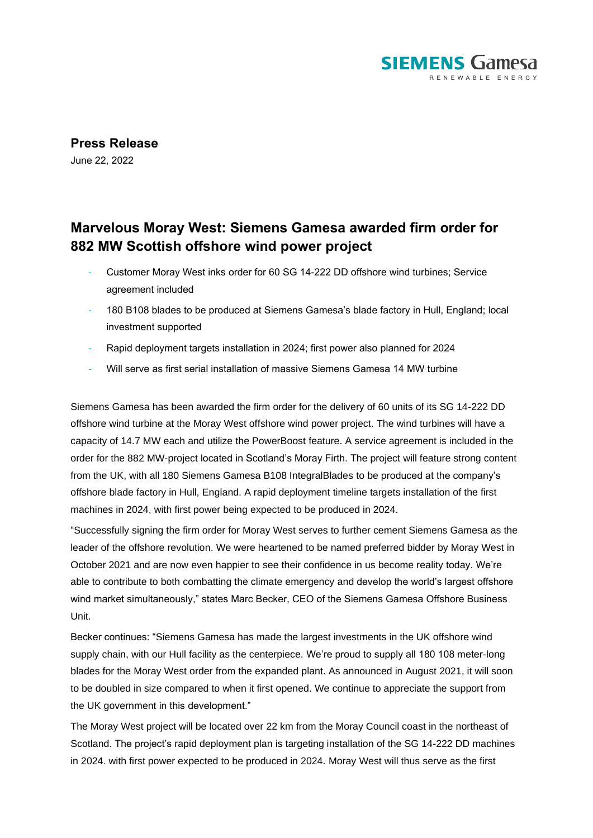

**Press Release** June 22, 2022

## **Marvelous Moray West: Siemens Gamesa awarded firm order for 882 MW Scottish offshore wind power project**

- Customer Moray West inks order for 60 SG 14-222 DD offshore wind turbines; Service agreement included
- 180 B108 blades to be produced at Siemens Gamesa's blade factory in Hull, England; local investment supported
- Rapid deployment targets installation in 2024; first power also planned for 2024
- Will serve as first serial installation of massive Siemens Gamesa 14 MW turbine

Siemens Gamesa has been awarded the firm order for the delivery of 60 units of its SG 14-222 DD offshore wind turbine at the Moray West offshore wind power project. The wind turbines will have a capacity of 14.7 MW each and utilize the PowerBoost feature. A service agreement is included in the order for the 882 MW-project located in Scotland's Moray Firth. The project will feature strong content from the UK, with all 180 Siemens Gamesa B108 IntegralBlades to be produced at the company's offshore blade factory in Hull, England. A rapid deployment timeline targets installation of the first machines in 2024, with first power being expected to be produced in 2024.

"Successfully signing the firm order for Moray West serves to further cement Siemens Gamesa as the leader of the offshore revolution. We were heartened to be named preferred bidder by Moray West in October 2021 and are now even happier to see their confidence in us become reality today. We're able to contribute to both combatting the climate emergency and develop the world's largest offshore wind market simultaneously," states Marc Becker, CEO of the Siemens Gamesa Offshore Business Unit.

Becker continues: "Siemens Gamesa has made the largest investments in the UK offshore wind supply chain, with our Hull facility as the centerpiece. We're proud to supply all 180 108 meter-long blades for the Moray West order from the expanded plant. As announced in August 2021, it will soon to be doubled in size compared to when it first opened. We continue to appreciate the support from the UK government in this development."

The Moray West project will be located over 22 km from the Moray Council coast in the northeast of Scotland. The project's rapid deployment plan is targeting installation of the SG 14-222 DD machines in 2024. with first power expected to be produced in 2024. Moray West will thus serve as the first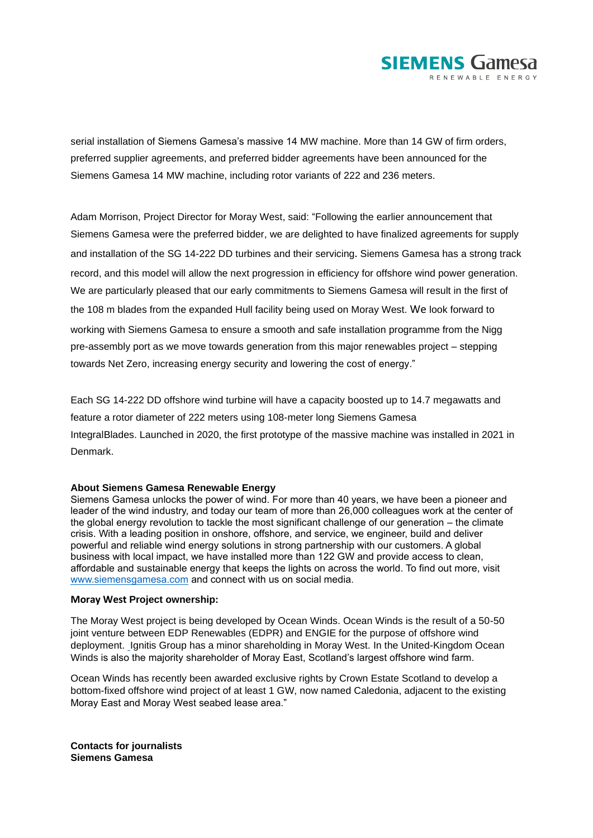

serial installation of Siemens Gamesa's massive 14 MW machine. More than 14 GW of firm orders, preferred supplier agreements, and preferred bidder agreements have been announced for the Siemens Gamesa 14 MW machine, including rotor variants of 222 and 236 meters.

Adam Morrison, Project Director for Moray West, said: "Following the earlier announcement that Siemens Gamesa were the preferred bidder, we are delighted to have finalized agreements for supply and installation of the SG 14-222 DD turbines and their servicing. Siemens Gamesa has a strong track record, and this model will allow the next progression in efficiency for offshore wind power generation. We are particularly pleased that our early commitments to Siemens Gamesa will result in the first of the 108 m blades from the expanded Hull facility being used on Moray West. We look forward to working with Siemens Gamesa to ensure a smooth and safe installation programme from the Nigg pre-assembly port as we move towards generation from this major renewables project – stepping towards Net Zero, increasing energy security and lowering the cost of energy."

Each SG 14-222 DD offshore wind turbine will have a capacity boosted up to 14.7 megawatts and feature a rotor diameter of 222 meters using 108-meter long Siemens Gamesa IntegralBlades. Launched in 2020, the first prototype of the massive machine was installed in 2021 in Denmark.

## **About Siemens Gamesa Renewable Energy**

Siemens Gamesa unlocks the power of wind. For more than 40 years, we have been a pioneer and leader of the wind industry, and today our team of more than 26,000 colleagues work at the center of the global energy revolution to tackle the most significant challenge of our generation – the climate crisis. With a leading position in onshore, offshore, and service, we engineer, build and deliver powerful and reliable wind energy solutions in strong partnership with our customers. A global business with local impact, we have installed more than 122 GW and provide access to clean, affordable and sustainable energy that keeps the lights on across the world. To find out more, visit [www.siemensgamesa.com](http://www.siemensgamesa.com/) and connect with us on social media.

## **Moray West Project ownership:**

The Moray West project is being developed by Ocean Winds. Ocean Winds is the result of a 50-50 joint venture between EDP Renewables (EDPR) and ENGIE for the purpose of offshore wind deployment. [I](https://eur04.safelinks.protection.outlook.com/?url=https%3A%2F%2Fwww.engie.com%2Fen%2Fjournalists%2Fpress-releases%2Fedp-join-forces-create-leading-global-offshore-wind-player%2F&data=05%7C01%7CDavid.Lenti%40siemensgamesa.com%7Cabfe374c962142a1cde408da52982ffa%7C12f921d8f30d4596a6527045b338485a%7C0%7C0%7C637913110840510681%7CUnknown%7CTWFpbGZsb3d8eyJWIjoiMC4wLjAwMDAiLCJQIjoiV2luMzIiLCJBTiI6Ik1haWwiLCJXVCI6Mn0%3D%7C3000%7C%7C%7C&sdata=G06YbvSNzXkZZ4EVZkHb%2BxG7JkepmdpiLZt9efGMJpE%3D&reserved=0)gnitis Group has a minor shareholding in Moray West. In the United-Kingdom Ocean Winds is also the majority shareholder of Moray East, Scotland's largest offshore wind farm.

Ocean Winds has recently been awarded exclusive rights by Crown Estate Scotland to develop a bottom-fixed offshore wind project of at least 1 GW, now named Caledonia, adjacent to the existing Moray East and Moray West seabed lease area."

**Contacts for journalists Siemens Gamesa**